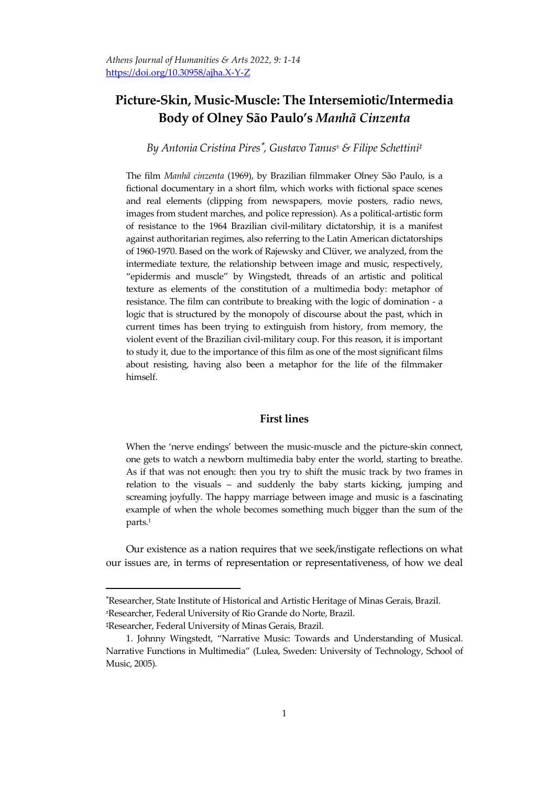# **Picture-Skin, Music-Muscle: The Intersemiotic/Intermedia Body of Olney São Paulo's** *Manhã Cinzenta*

### *By Antonia Cristina Pires , Gustavo Tanus<sup>±</sup> & Filipe Schettini‡*

The film *Manhã cinzenta* (1969), by Brazilian filmmaker Olney São Paulo, is a fictional documentary in a short film, which works with fictional space scenes and real elements (clipping from newspapers, movie posters, radio news, images from student marches, and police repression). As a political-artistic form of resistance to the 1964 Brazilian civil-military dictatorship, it is a manifest against authoritarian regimes, also referring to the Latin American dictatorships of 1960-1970. Based on the work of Rajewsky and Clüver, we analyzed, from the intermediate texture, the relationship between image and music, respectively, 'epidermis and muscle' by Wingstedt, threads of an artistic and political texture as elements of the constitution of a multimedia body: metaphor of resistance. The film can contribute to breaking with the logic of domination - a logic that is structured by the monopoly of discourse about the past, which in current times has been trying to extinguish from history, from memory, the violent event of the Brazilian civil-military coup. For this reason, it is important to study it, due to the importance of this film as one of the most significant films about resisting, having also been a metaphor for the life of the filmmaker himself.

### **First lines**

When the 'nerve endings' between the music-muscle and the picture-skin connect, one gets to watch a newborn multimedia baby enter the world, starting to breathe. As if that was not enough: then you try to shift the music track by two frames in relation to the visuals – and suddenly the baby starts kicking, jumping and screaming joyfully. The happy marriage between image and music is a fascinating example of when the whole becomes something much bigger than the sum of the parts.<sup>1</sup>

Our existence as a nation requires that we seek/instigate reflections on what our issues are, in terms of representation or representativeness, of how we deal

<sup>\*</sup>Researcher, State Institute of Historical and Artistic Heritage of Minas Gerais, Brazil. <sup>±</sup>Researcher, Federal University of Rio Grande do Norte, Brazil.

<sup>‡</sup>Researcher, Federal University of Minas Gerais, Brazil.

<sup>1.</sup> Johnny Wingstedt, 'Narrative Music: Towards and Understanding of Musical. Narrative Functions in Multimedia' (Lulea, Sweden: University of Technology, School of Music, 2005).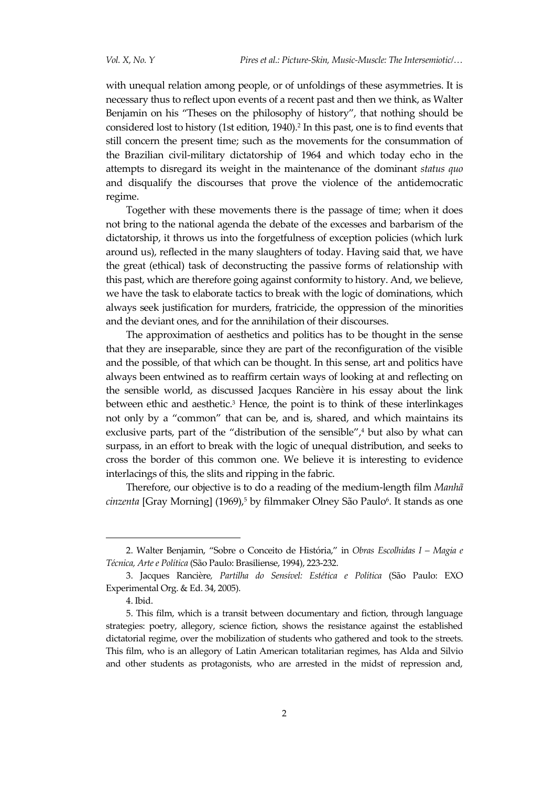*Vol. X, No. Y Pires et al.: Picture-Skin, Music-Muscle: The Intersemiotic/…*

with unequal relation among people, or of unfoldings of these asymmetries. It is necessary thus to reflect upon events of a recent past and then we think, as Walter Benjamin on his 'Theses on the philosophy of history', that nothing should be considered lost to history (1st edition, 1940). 2 In this past, one is to find events that still concern the present time; such as the movements for the consummation of the Brazilian civil-military dictatorship of 1964 and which today echo in the attempts to disregard its weight in the maintenance of the dominant *status quo* and disqualify the discourses that prove the violence of the antidemocratic regime.

Together with these movements there is the passage of time; when it does not bring to the national agenda the debate of the excesses and barbarism of the dictatorship, it throws us into the forgetfulness of exception policies (which lurk around us), reflected in the many slaughters of today. Having said that, we have the great (ethical) task of deconstructing the passive forms of relationship with this past, which are therefore going against conformity to history. And, we believe, we have the task to elaborate tactics to break with the logic of dominations, which always seek justification for murders, fratricide, the oppression of the minorities and the deviant ones, and for the annihilation of their discourses.

The approximation of aesthetics and politics has to be thought in the sense that they are inseparable, since they are part of the reconfiguration of the visible and the possible, of that which can be thought. In this sense, art and politics have always been entwined as to reaffirm certain ways of looking at and reflecting on the sensible world, as discussed Jacques Rancière in his essay about the link between ethic and aesthetic. <sup>3</sup> Hence, the point is to think of these interlinkages not only by a 'common' that can be, and is, shared, and which maintains its exclusive parts, part of the 'distribution of the sensible', <sup>4</sup> but also by what can surpass, in an effort to break with the logic of unequal distribution, and seeks to cross the border of this common one. We believe it is interesting to evidence interlacings of this, the slits and ripping in the fabric.

Therefore, our objective is to do a reading of the medium-length film *Manhã cinzenta* [Gray Morning] (1969),<sup>5</sup> by filmmaker Olney São Paulo<sup>6</sup>. It stands as one

<sup>2.</sup> Walter Benjamin, 'Sobre o Conceito de História,' in *Obras Escolhidas I – Magia e Técnica, Arte e Política* (São Paulo: Brasiliense, 1994), 223-232.

<sup>3.</sup> Jacques Rancière*, Partilha do Sensível: Estética e Política* (São Paulo: EXO Experimental Org. & Ed. 34, 2005).

<sup>4.</sup> Ibid.

<sup>5.</sup> This film, which is a transit between documentary and fiction, through language strategies: poetry, allegory, science fiction, shows the resistance against the established dictatorial regime, over the mobilization of students who gathered and took to the streets. This film, who is an allegory of Latin American totalitarian regimes, has Alda and Silvio and other students as protagonists, who are arrested in the midst of repression and,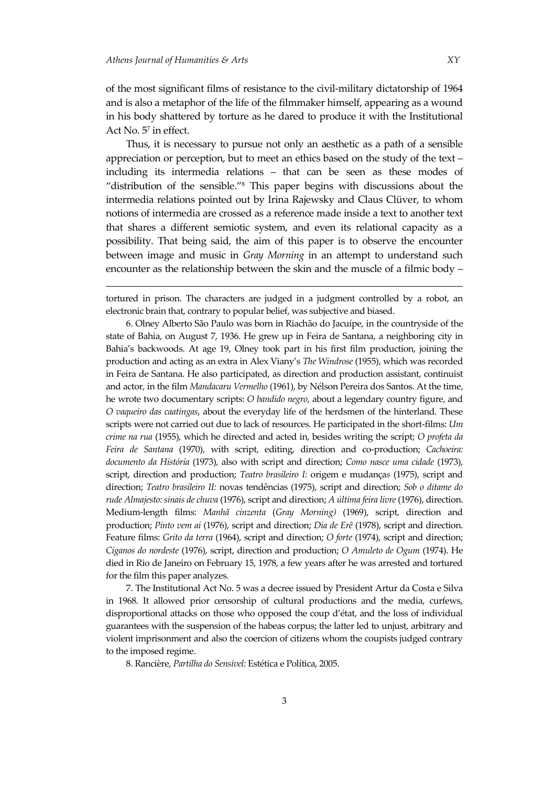$\overline{a}$ 

of the most significant films of resistance to the civil-military dictatorship of 1964 and is also a metaphor of the life of the filmmaker himself, appearing as a wound in his body shattered by torture as he dared to produce it with the Institutional Act No. 5<sup>7</sup> in effect.

Thus, it is necessary to pursue not only an aesthetic as a path of a sensible appreciation or perception, but to meet an ethics based on the study of the text – including its intermedia relations – that can be seen as these modes of 'distribution of the sensible.' <sup>8</sup> This paper begins with discussions about the intermedia relations pointed out by Irina Rajewsky and Claus Clüver, to whom notions of intermedia are crossed as a reference made inside a text to another text that shares a different semiotic system, and even its relational capacity as a possibility. That being said, the aim of this paper is to observe the encounter between image and music in *Gray Morning* in an attempt to understand such encounter as the relationship between the skin and the muscle of a filmic body –

tortured in prison. The characters are judged in a judgment controlled by a robot, an electronic brain that, contrary to popular belief, was subjective and biased.

6. Olney Alberto São Paulo was born in Riachão do Jacuípe, in the countryside of the state of Bahia, on August 7, 1936. He grew up in Feira de Santana, a neighboring city in Bahia's backwoods. At age 19, Olney took part in his first film production, joining the production and acting as an extra in Alex Viany's *The Windrose* (1955), which was recorded in Feira de Santana. He also participated, as direction and production assistant, continuist and actor, in the film *Mandacaru Vermelho* (1961), by Nélson Pereira dos Santos. At the time, he wrote two documentary scripts: *O bandido negro*, about a legendary country figure, and *O vaqueiro das caatingas*, about the everyday life of the herdsmen of the hinterland. These scripts were not carried out due to lack of resources. He participated in the short-films: *Um crime na rua* (1955), which he directed and acted in, besides writing the script; *O profeta da Feira de Santana* (1970), with script, editing, direction and co-production; *Cachoeira: documento da História* (1973), also with script and direction; *Como nasce uma cidade* (1973), script, direction and production; *Teatro brasileiro I:* origem e mudança*s* (1975), script and direction; *Teatro brasileiro II:* novas tendências (1975), script and direction; *Sob o ditame do rude Almajesto: sinais de chuva* (1976), script and direction; *A última feira livre* (1976), direction. Medium-length films: *Manhã cinzenta* (*Gray Morning)* (1969), script, direction and production; *Pinto vem aí* (1976), script and direction; *Dia de Erê* (1978), script and direction. Feature films: *Grito da terra* (1964), script and direction; *O forte* (1974), script and direction; *Ciganos do nordeste* (1976), script, direction and production; *O Amuleto de Ogum* (1974). He died in Rio de Janeiro on February 15, 1978, a few years after he was arrested and tortured for the film this paper analyzes.

7. The Institutional Act No. 5 was a decree issued by President Artur da Costa e Silva in 1968. It allowed prior censorship of cultural productions and the media, curfews, disproportional attacks on those who opposed the coup d'état, and the loss of individual guarantees with the suspension of the habeas corpus; the latter led to unjust, arbitrary and violent imprisonment and also the coercion of citizens whom the coupists judged contrary to the imposed regime.

8. Rancière, *Partilha do Sensível:* Estética e Política, 2005.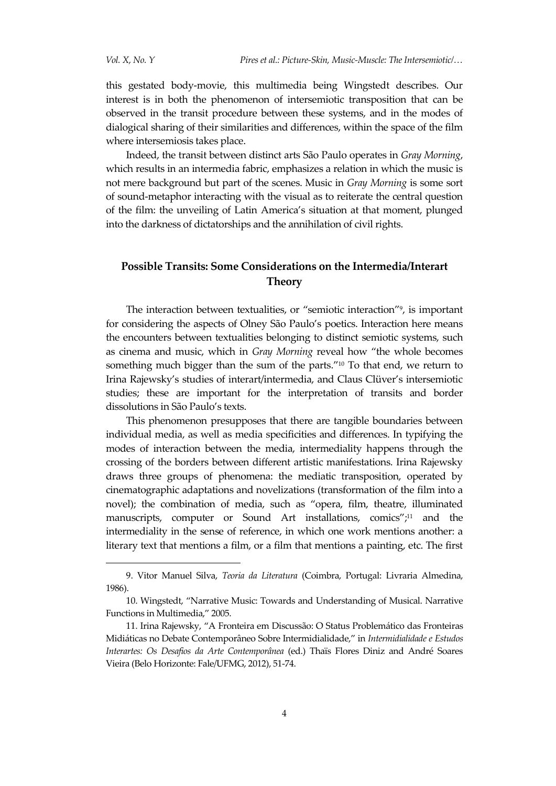$\overline{a}$ 

this gestated body-movie, this multimedia being Wingstedt describes. Our interest is in both the phenomenon of intersemiotic transposition that can be observed in the transit procedure between these systems, and in the modes of dialogical sharing of their similarities and differences, within the space of the film where intersemiosis takes place.

Indeed, the transit between distinct arts São Paulo operates in *Gray Morning*, which results in an intermedia fabric, emphasizes a relation in which the music is not mere background but part of the scenes. Music in *Gray Morning* is some sort of sound-metaphor interacting with the visual as to reiterate the central question of the film: the unveiling of Latin America's situation at that moment, plunged into the darkness of dictatorships and the annihilation of civil rights.

## **Possible Transits: Some Considerations on the Intermedia/Interart Theory**

The interaction between textualities, or "semiotic interaction"<sup>9</sup>, is important for considering the aspects of Olney São Paulo's poetics. Interaction here means the encounters between textualities belonging to distinct semiotic systems, such as cinema and music, which in *Gray Morning* reveal how 'the whole becomes something much bigger than the sum of the parts.' <sup>10</sup> To that end, we return to Irina Rajewsky's studies of interart/intermedia, and Claus Clüver's intersemiotic studies; these are important for the interpretation of transits and border dissolutions in São Paulo's texts.

This phenomenon presupposes that there are tangible boundaries between individual media, as well as media specificities and differences. In typifying the modes of interaction between the media, intermediality happens through the crossing of the borders between different artistic manifestations. Irina Rajewsky draws three groups of phenomena: the mediatic transposition, operated by cinematographic adaptations and novelizations (transformation of the film into a novel); the combination of media, such as 'opera, film, theatre, illuminated manuscripts, computer or Sound Art installations, comics'; <sup>11</sup> and the intermediality in the sense of reference, in which one work mentions another: a literary text that mentions a film, or a film that mentions a painting, etc. The first

<sup>9.</sup> Vitor Manuel Silva, *Teoria da Literatura* (Coimbra, Portugal: Livraria Almedina, 1986).

<sup>10.</sup> Wingstedt, 'Narrative Music: Towards and Understanding of Musical. Narrative Functions in Multimedia,' 2005.

<sup>11.</sup> Irina Rajewsky, 'A Fronteira em Discussão: O Status Problemático das Fronteiras Midiáticas no Debate Contemporâneo Sobre Intermidialidade,' in *Intermidialidade e Estudos Interartes: Os Desafios da Arte Contemporânea* (ed.) Thaïs Flores Diniz and André Soares Vieira (Belo Horizonte: Fale/UFMG, 2012), 51-74.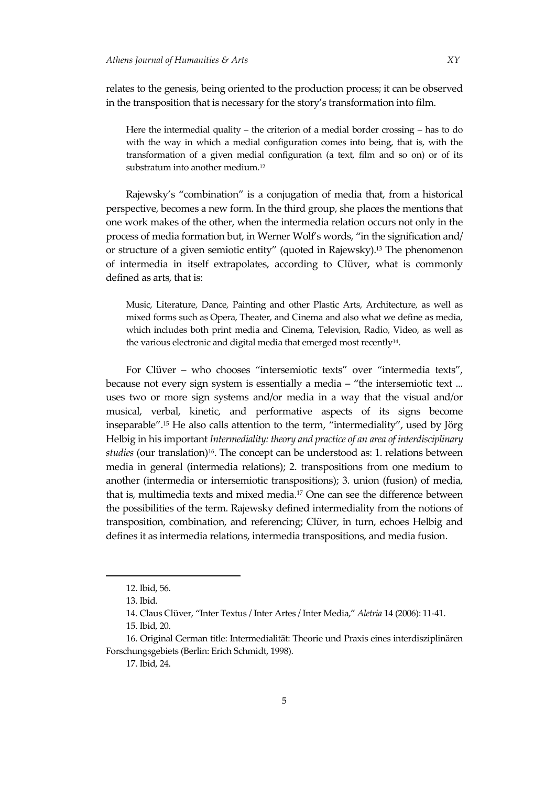relates to the genesis, being oriented to the production process; it can be observed in the transposition that is necessary for the story's transformation into film.

Here the intermedial quality – the criterion of a medial border crossing – has to do with the way in which a medial configuration comes into being, that is, with the transformation of a given medial configuration (a text, film and so on) or of its substratum into another medium.<sup>12</sup>

Rajewsky's 'combination' is a conjugation of media that, from a historical perspective, becomes a new form. In the third group, she places the mentions that one work makes of the other, when the intermedia relation occurs not only in the process of media formation but, in Werner Wolf's words, "in the signification and/ or structure of a given semiotic entity' (quoted in Rajewsky). <sup>13</sup> The phenomenon of intermedia in itself extrapolates, according to Clüver, what is commonly defined as arts, that is:

Music, Literature, Dance, Painting and other Plastic Arts, Architecture, as well as mixed forms such as Opera, Theater, and Cinema and also what we define as media, which includes both print media and Cinema, Television, Radio, Video, as well as the various electronic and digital media that emerged most recently $^{14}$ .

For Clüver – who chooses "intersemiotic texts" over "intermedia texts", because not every sign system is essentially a media – 'the intersemiotic text ... uses two or more sign systems and/or media in a way that the visual and/or musical, verbal, kinetic, and performative aspects of its signs become inseparable'. <sup>15</sup> He also calls attention to the term, 'intermediality', used by Jörg Helbig in his important *Intermediality: theory and practice of an area of interdisciplinary* studies (our translation)<sup>16</sup>. The concept can be understood as: 1. relations between media in general (intermedia relations); 2. transpositions from one medium to another (intermedia or intersemiotic transpositions); 3. union (fusion) of media, that is, multimedia texts and mixed media. <sup>17</sup> One can see the difference between the possibilities of the term. Rajewsky defined intermediality from the notions of transposition, combination, and referencing; Clüver, in turn, echoes Helbig and defines it as intermedia relations, intermedia transpositions, and media fusion.

<sup>12.</sup> Ibid, 56.

<sup>13.</sup> Ibid.

<sup>14.</sup> Claus Clüver, 'Inter Textus / Inter Artes / Inter Media,' *Aletria* 14 (2006): 11-41.

<sup>15.</sup> Ibid, 20.

<sup>16.</sup> Original German title: Intermedialität: Theorie und Praxis eines interdisziplinären Forschungsgebiets (Berlin: Erich Schmidt, 1998).

<sup>17.</sup> Ibid, 24.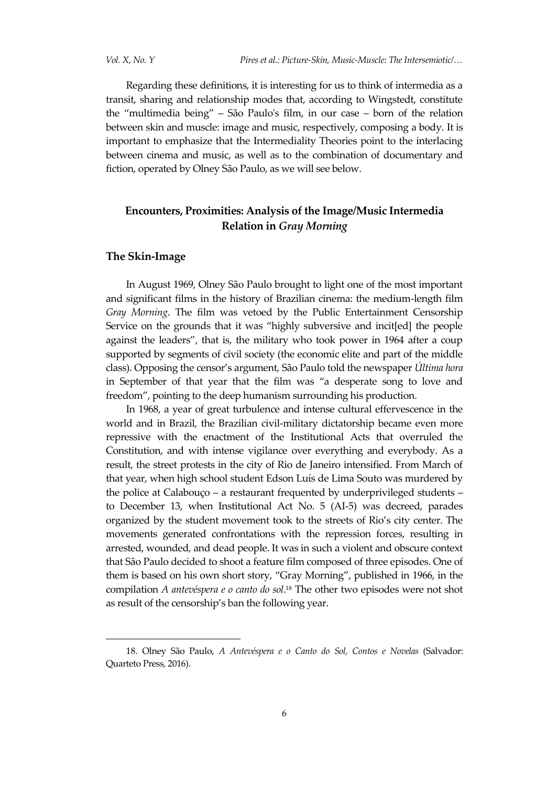Regarding these definitions, it is interesting for us to think of intermedia as a transit, sharing and relationship modes that, according to Wingstedt, constitute the 'multimedia being' – São Paulo's film, in our case – born of the relation between skin and muscle: image and music, respectively, composing a body. It is important to emphasize that the Intermediality Theories point to the interlacing between cinema and music, as well as to the combination of documentary and fiction, operated by Olney São Paulo, as we will see below.

## **Encounters, Proximities: Analysis of the Image/Music Intermedia Relation in** *Gray Morning*

### **The Skin-Image**

 $\overline{\phantom{a}}$ 

In August 1969, Olney São Paulo brought to light one of the most important and significant films in the history of Brazilian cinema: the medium-length film *Gray Morning*. The film was vetoed by the Public Entertainment Censorship Service on the grounds that it was "highly subversive and incited the people against the leaders', that is, the military who took power in 1964 after a coup supported by segments of civil society (the economic elite and part of the middle class). Opposing the censor's argument, São Paulo told the newspaper *Última hora* in September of that year that the film was 'a desperate song to love and freedom', pointing to the deep humanism surrounding his production.

In 1968, a year of great turbulence and intense cultural effervescence in the world and in Brazil, the Brazilian civil-military dictatorship became even more repressive with the enactment of the Institutional Acts that overruled the Constitution, and with intense vigilance over everything and everybody. As a result, the street protests in the city of Rio de Janeiro intensified. From March of that year, when high school student Edson Luís de Lima Souto was murdered by the police at Calabouço – a restaurant frequented by underprivileged students – to December 13, when Institutional Act No. 5 (AI-5) was decreed, parades organized by the student movement took to the streets of Rio's city center. The movements generated confrontations with the repression forces, resulting in arrested, wounded, and dead people. It was in such a violent and obscure context that São Paulo decided to shoot a feature film composed of three episodes. One of them is based on his own short story, 'Gray Morning', published in 1966, in the compilation *A antevéspera e o canto do sol*. <sup>18</sup> The other two episodes were not shot as result of the censorship's ban the following year.

<sup>18.</sup> Olney São Paulo, *A Antevéspera e o Canto do Sol, Contos e Novelas* (Salvador: Quarteto Press, 2016).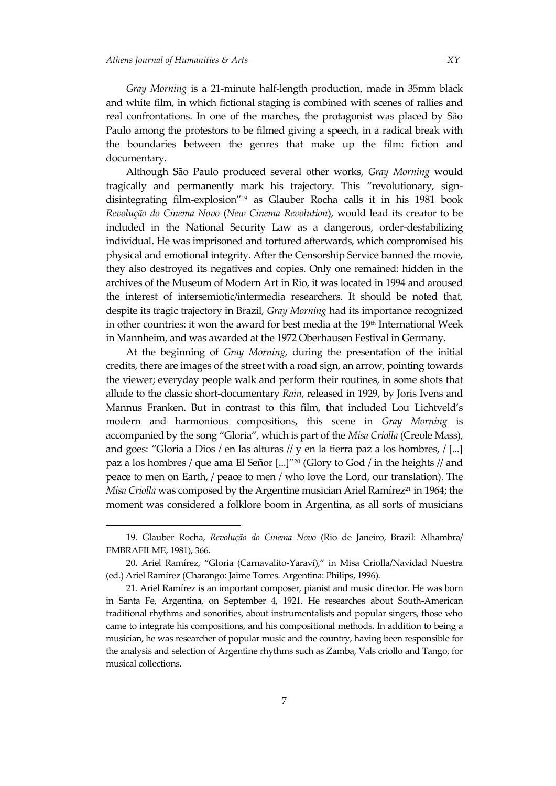$\overline{a}$ 

*Gray Morning* is a 21-minute half-length production, made in 35mm black and white film, in which fictional staging is combined with scenes of rallies and real confrontations. In one of the marches, the protagonist was placed by São Paulo among the protestors to be filmed giving a speech, in a radical break with the boundaries between the genres that make up the film: fiction and documentary.

Although São Paulo produced several other works, *Gray Morning* would tragically and permanently mark his trajectory. This 'revolutionary, signdisintegrating film-explosion'<sup>19</sup> as Glauber Rocha calls it in his 1981 book *Revolução do Cinema Novo* (*New Cinema Revolution*), would lead its creator to be included in the National Security Law as a dangerous, order-destabilizing individual. He was imprisoned and tortured afterwards, which compromised his physical and emotional integrity. After the Censorship Service banned the movie, they also destroyed its negatives and copies. Only one remained: hidden in the archives of the Museum of Modern Art in Rio, it was located in 1994 and aroused the interest of intersemiotic/intermedia researchers. It should be noted that, despite its tragic trajectory in Brazil, *Gray Morning* had its importance recognized in other countries: it won the award for best media at the 19<sup>th</sup> International Week in Mannheim, and was awarded at the 1972 Oberhausen Festival in Germany.

At the beginning of *Gray Morning*, during the presentation of the initial credits, there are images of the street with a road sign, an arrow, pointing towards the viewer; everyday people walk and perform their routines, in some shots that allude to the classic short-documentary *Rain*, released in 1929, by Joris Ivens and Mannus Franken. But in contrast to this film, that included Lou Lichtveld's modern and harmonious compositions, this scene in *Gray Morning* is accompanied by the song 'Gloria', which is part of the *Misa Criolla* (Creole Mass), and goes: "Gloria a Dios / en las alturas // y en la tierra paz a los hombres, / [...] paz a los hombres / que ama El Señor [...]"<sup>20</sup> (Glory to God / in the heights // and peace to men on Earth, / peace to men / who love the Lord, our translation). The *Misa Criolla* was composed by the Argentine musician Ariel Ramírez<sup>21</sup> in 1964; the moment was considered a folklore boom in Argentina, as all sorts of musicians

<sup>19.</sup> Glauber Rocha, *Revolução do Cinema Novo* (Rio de Janeiro, Brazil: Alhambra/ EMBRAFILME, 1981), 366.

<sup>20.</sup> Ariel Ramírez, "Gloria (Carnavalito-Yaraví)," in Misa Criolla/Navidad Nuestra (ed.) Ariel Ramírez (Charango: Jaime Torres. Argentina: Philips, 1996).

<sup>21.</sup> Ariel Ramírez is an important composer, pianist and music director. He was born in Santa Fe, Argentina, on September 4, 1921. He researches about South-American traditional rhythms and sonorities, about instrumentalists and popular singers, those who came to integrate his compositions, and his compositional methods. In addition to being a musician, he was researcher of popular music and the country, having been responsible for the analysis and selection of Argentine rhythms such as Zamba, Vals criollo and Tango, for musical collections.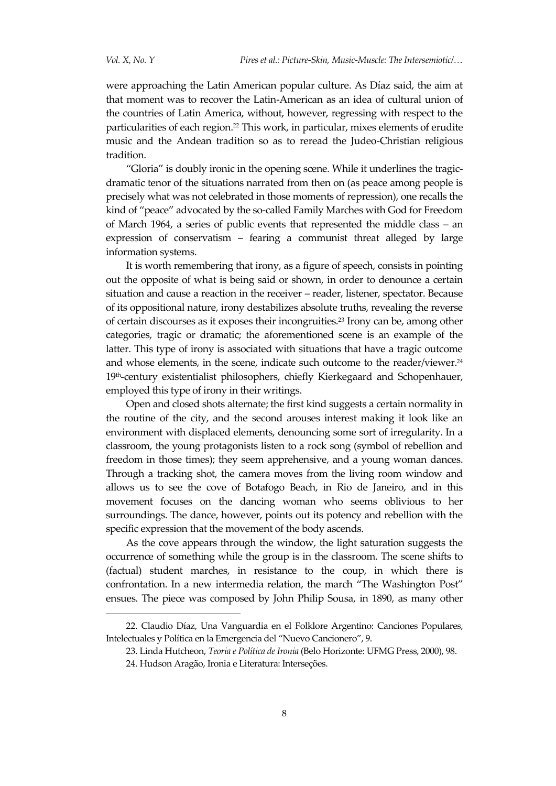were approaching the Latin American popular culture. As Díaz said, the aim at that moment was to recover the Latin-American as an idea of cultural union of the countries of Latin America, without, however, regressing with respect to the particularities of each region. <sup>22</sup> This work, in particular, mixes elements of erudite music and the Andean tradition so as to reread the Judeo-Christian religious tradition.

'Gloria' is doubly ironic in the opening scene. While it underlines the tragicdramatic tenor of the situations narrated from then on (as peace among people is precisely what was not celebrated in those moments of repression), one recalls the kind of 'peace' advocated by the so-called Family Marches with God for Freedom of March 1964, a series of public events that represented the middle class – an expression of conservatism – fearing a communist threat alleged by large information systems.

It is worth remembering that irony, as a figure of speech, consists in pointing out the opposite of what is being said or shown, in order to denounce a certain situation and cause a reaction in the receiver – reader, listener, spectator. Because of its oppositional nature, irony destabilizes absolute truths, revealing the reverse of certain discourses as it exposes their incongruities. <sup>23</sup> Irony can be, among other categories, tragic or dramatic; the aforementioned scene is an example of the latter. This type of irony is associated with situations that have a tragic outcome and whose elements, in the scene, indicate such outcome to the reader/viewer.<sup>24</sup> 19th-century existentialist philosophers, chiefly Kierkegaard and Schopenhauer, employed this type of irony in their writings.

Open and closed shots alternate; the first kind suggests a certain normality in the routine of the city, and the second arouses interest making it look like an environment with displaced elements, denouncing some sort of irregularity. In a classroom, the young protagonists listen to a rock song (symbol of rebellion and freedom in those times); they seem apprehensive, and a young woman dances. Through a tracking shot, the camera moves from the living room window and allows us to see the cove of Botafogo Beach, in Rio de Janeiro, and in this movement focuses on the dancing woman who seems oblivious to her surroundings. The dance, however, points out its potency and rebellion with the specific expression that the movement of the body ascends.

As the cove appears through the window, the light saturation suggests the occurrence of something while the group is in the classroom. The scene shifts to (factual) student marches, in resistance to the coup, in which there is confrontation. In a new intermedia relation, the march 'The Washington Post' ensues. The piece was composed by John Philip Sousa, in 1890, as many other

 $\overline{\phantom{a}}$ 

<sup>22.</sup> Claudio Díaz, Una Vanguardia en el Folklore Argentino: Canciones Populares, Intelectuales y Política en la Emergencia del 'Nuevo Cancionero', 9.

<sup>23.</sup> Linda Hutcheon, *Teoria e Política de Ironia* (Belo Horizonte: UFMG Press, 2000), 98.

<sup>24.</sup> Hudson Aragão, Ironia e Literatura: Interseções.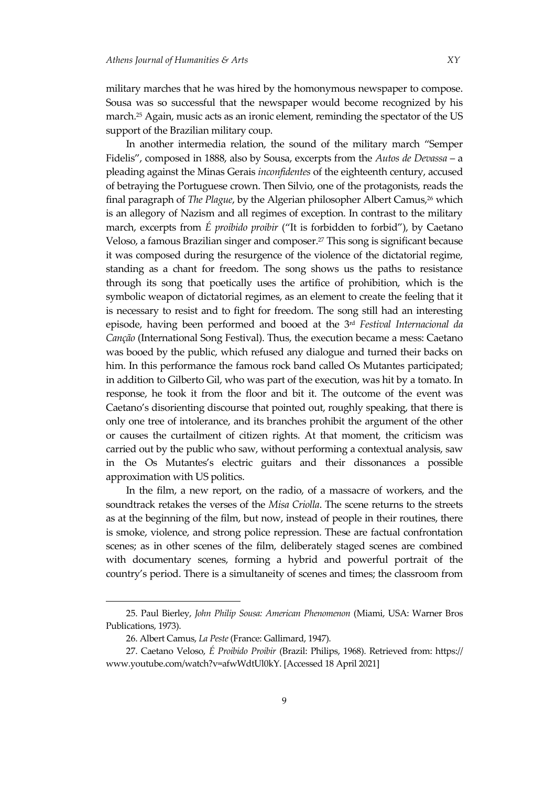military marches that he was hired by the homonymous newspaper to compose. Sousa was so successful that the newspaper would become recognized by his march. <sup>25</sup> Again, music acts as an ironic element, reminding the spectator of the US support of the Brazilian military coup.

In another intermedia relation, the sound of the military march 'Semper Fidelis', composed in 1888, also by Sousa, excerpts from the *Autos de Devassa* – a pleading against the Minas Gerais *inconfidentes* of the eighteenth century, accused of betraying the Portuguese crown. Then Silvio, one of the protagonists, reads the final paragraph of *The Plague*, by the Algerian philosopher Albert Camus, <sup>26</sup> which is an allegory of Nazism and all regimes of exception. In contrast to the military march, excerpts from *É proibido proibir* ('It is forbidden to forbid'), by Caetano Veloso, a famous Brazilian singer and composer. <sup>27</sup> This song is significant because it was composed during the resurgence of the violence of the dictatorial regime, standing as a chant for freedom. The song shows us the paths to resistance through its song that poetically uses the artifice of prohibition, which is the symbolic weapon of dictatorial regimes, as an element to create the feeling that it is necessary to resist and to fight for freedom. The song still had an interesting episode, having been performed and booed at the 3rd *Festival Internacional da Canção* (International Song Festival). Thus, the execution became a mess: Caetano was booed by the public, which refused any dialogue and turned their backs on him. In this performance the famous rock band called Os Mutantes participated; in addition to Gilberto Gil, who was part of the execution, was hit by a tomato. In response, he took it from the floor and bit it. The outcome of the event was Caetano's disorienting discourse that pointed out, roughly speaking, that there is only one tree of intolerance, and its branches prohibit the argument of the other or causes the curtailment of citizen rights. At that moment, the criticism was carried out by the public who saw, without performing a contextual analysis, saw in the Os Mutantes's electric guitars and their dissonances a possible approximation with US politics.

In the film, a new report, on the radio, of a massacre of workers, and the soundtrack retakes the verses of the *Misa Criolla*. The scene returns to the streets as at the beginning of the film, but now, instead of people in their routines, there is smoke, violence, and strong police repression. These are factual confrontation scenes; as in other scenes of the film, deliberately staged scenes are combined with documentary scenes, forming a hybrid and powerful portrait of the country's period. There is a simultaneity of scenes and times; the classroom from

<sup>25.</sup> Paul Bierley, *John Philip Sousa: American Phenomenon* (Miami, USA: Warner Bros Publications, 1973).

<sup>26.</sup> Albert Camus, *La Peste* (France: Gallimard, 1947).

<sup>27.</sup> Caetano Veloso, *É Proibido Proibir* (Brazil: Philips, 1968). Retrieved from: https:// www.youtube.com/watch?v=afwWdtUl0kY. [Accessed 18 April 2021]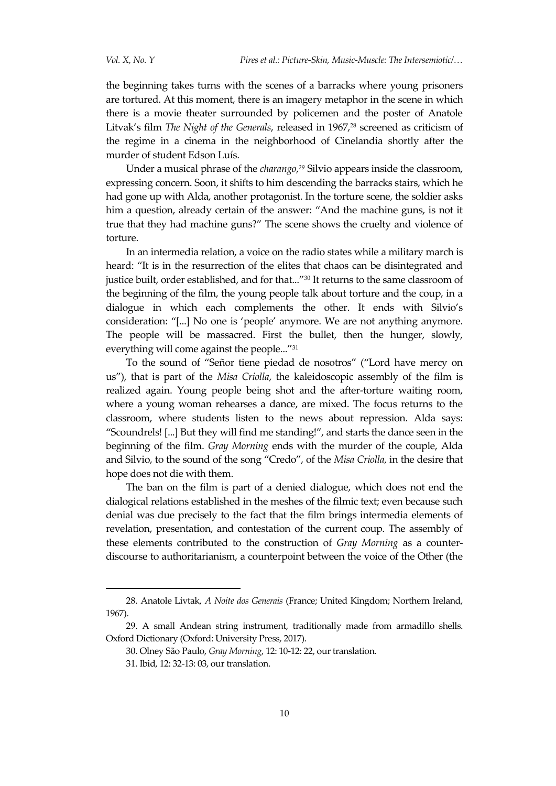the beginning takes turns with the scenes of a barracks where young prisoners are tortured. At this moment, there is an imagery metaphor in the scene in which there is a movie theater surrounded by policemen and the poster of Anatole Litvak's film *The Night of the Generals*, released in 1967, <sup>28</sup> screened as criticism of the regime in a cinema in the neighborhood of Cinelandia shortly after the murder of student Edson Luís.

Under a musical phrase of the *charango*, *<sup>29</sup>* Silvio appears inside the classroom, expressing concern. Soon, it shifts to him descending the barracks stairs, which he had gone up with Alda, another protagonist. In the torture scene, the soldier asks him a question, already certain of the answer: "And the machine guns, is not it true that they had machine guns?' The scene shows the cruelty and violence of torture.

In an intermedia relation, a voice on the radio states while a military march is heard: 'It is in the resurrection of the elites that chaos can be disintegrated and justice built, order established, and for that..."<sup>30</sup> It returns to the same classroom of the beginning of the film, the young people talk about torture and the coup, in a dialogue in which each complements the other. It ends with Silvio's consideration: "[...] No one is 'people' anymore. We are not anything anymore. The people will be massacred. First the bullet, then the hunger, slowly, everything will come against the people..."<sup>31</sup>

To the sound of 'Señor tiene piedad de nosotros' ('Lord have mercy on us'), that is part of the *Misa Criolla*, the kaleidoscopic assembly of the film is realized again. Young people being shot and the after-torture waiting room, where a young woman rehearses a dance, are mixed. The focus returns to the classroom, where students listen to the news about repression. Alda says: "Scoundrels! [...] But they will find me standing!", and starts the dance seen in the beginning of the film. *Gray Morning* ends with the murder of the couple, Alda and Silvio, to the sound of the song 'Credo', of the *Misa Criolla*, in the desire that hope does not die with them.

The ban on the film is part of a denied dialogue, which does not end the dialogical relations established in the meshes of the filmic text; even because such denial was due precisely to the fact that the film brings intermedia elements of revelation, presentation, and contestation of the current coup. The assembly of these elements contributed to the construction of *Gray Morning* as a counterdiscourse to authoritarianism, a counterpoint between the voice of the Other (the

<sup>28.</sup> Anatole Livtak, *A Noite dos Generais* (France; United Kingdom; Northern Ireland, 1967).

<sup>29.</sup> A small Andean string instrument, traditionally made from armadillo shells. Oxford Dictionary (Oxford: University Press, 2017).

<sup>30.</sup> Olney São Paulo, *Gray Morning*, 12: 10-12: 22, our translation.

<sup>31.</sup> Ibid, 12: 32-13: 03, our translation.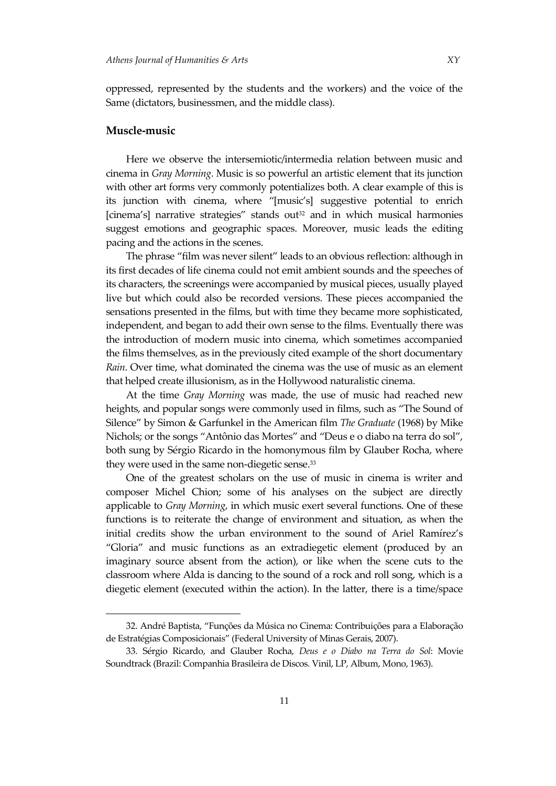oppressed, represented by the students and the workers) and the voice of the Same (dictators, businessmen, and the middle class).

### **Muscle-music**

 $\overline{\phantom{a}}$ 

Here we observe the intersemiotic/intermedia relation between music and cinema in *Gray Morning*. Music is so powerful an artistic element that its junction with other art forms very commonly potentializes both. A clear example of this is its junction with cinema, where "[music's] suggestive potential to enrich [cinema's] narrative strategies" stands out<sup>32</sup> and in which musical harmonies suggest emotions and geographic spaces. Moreover, music leads the editing pacing and the actions in the scenes.

The phrase 'film was never silent' leads to an obvious reflection: although in its first decades of life cinema could not emit ambient sounds and the speeches of its characters, the screenings were accompanied by musical pieces, usually played live but which could also be recorded versions. These pieces accompanied the sensations presented in the films, but with time they became more sophisticated, independent, and began to add their own sense to the films. Eventually there was the introduction of modern music into cinema, which sometimes accompanied the films themselves, as in the previously cited example of the short documentary *Rain*. Over time, what dominated the cinema was the use of music as an element that helped create illusionism, as in the Hollywood naturalistic cinema.

At the time *Gray Morning* was made, the use of music had reached new heights, and popular songs were commonly used in films, such as 'The Sound of Silence' by Simon & Garfunkel in the American film *The Graduate* (1968) by Mike Nichols; or the songs 'Antônio das Mortes' and 'Deus e o diabo na terra do sol', both sung by Sérgio Ricardo in the homonymous film by Glauber Rocha, where they were used in the same non-diegetic sense. 33

One of the greatest scholars on the use of music in cinema is writer and composer Michel Chion; some of his analyses on the subject are directly applicable to *Gray Morning*, in which music exert several functions. One of these functions is to reiterate the change of environment and situation, as when the initial credits show the urban environment to the sound of Ariel Ramírez's 'Gloria' and music functions as an extradiegetic element (produced by an imaginary source absent from the action), or like when the scene cuts to the classroom where Alda is dancing to the sound of a rock and roll song, which is a diegetic element (executed within the action). In the latter, there is a time/space

<sup>32.</sup> André Baptista, 'Funções da Música no Cinema: Contribuições para a Elaboração de Estratégias Composicionais' (Federal University of Minas Gerais, 2007).

<sup>33.</sup> Sérgio Ricardo, and Glauber Rocha, *Deus e o Diabo na Terra do Sol*: Movie Soundtrack (Brazil: Companhia Brasileira de Discos. Vinil, LP, Album, Mono, 1963).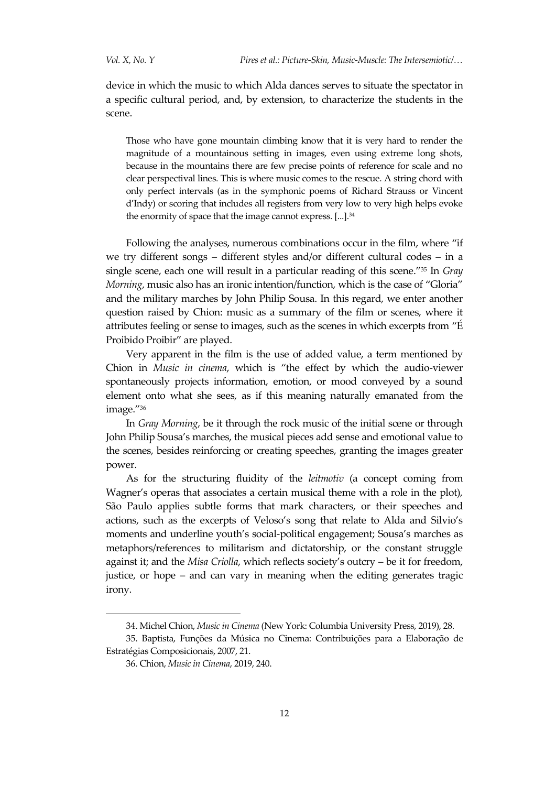device in which the music to which Alda dances serves to situate the spectator in a specific cultural period, and, by extension, to characterize the students in the scene.

Those who have gone mountain climbing know that it is very hard to render the magnitude of a mountainous setting in images, even using extreme long shots, because in the mountains there are few precise points of reference for scale and no clear perspectival lines. This is where music comes to the rescue. A string chord with only perfect intervals (as in the symphonic poems of Richard Strauss or Vincent d'Indy) or scoring that includes all registers from very low to very high helps evoke the enormity of space that the image cannot express. [...].<sup>34</sup>

Following the analyses, numerous combinations occur in the film, where 'if we try different songs – different styles and/or different cultural codes – in a single scene, each one will result in a particular reading of this scene.' <sup>35</sup> In *Gray Morning*, music also has an ironic intention/function, which is the case of 'Gloria' and the military marches by John Philip Sousa. In this regard, we enter another question raised by Chion: music as a summary of the film or scenes, where it attributes feeling or sense to images, such as the scenes in which excerpts from 'É Proibido Proibir' are played.

Very apparent in the film is the use of added value, a term mentioned by Chion in *Music in cinema*, which is 'the effect by which the audio-viewer spontaneously projects information, emotion, or mood conveyed by a sound element onto what she sees, as if this meaning naturally emanated from the image.' 36

In *Gray Morning*, be it through the rock music of the initial scene or through John Philip Sousa's marches, the musical pieces add sense and emotional value to the scenes, besides reinforcing or creating speeches, granting the images greater power.

As for the structuring fluidity of the *leitmotiv* (a concept coming from Wagner's operas that associates a certain musical theme with a role in the plot), São Paulo applies subtle forms that mark characters, or their speeches and actions, such as the excerpts of Veloso's song that relate to Alda and Silvio's moments and underline youth's social-political engagement; Sousa's marches as metaphors/references to militarism and dictatorship, or the constant struggle against it; and the *Misa Criolla*, which reflects society's outcry – be it for freedom, justice, or hope – and can vary in meaning when the editing generates tragic irony.

 $\overline{\phantom{a}}$ 

<sup>34.</sup> Michel Chion, *Music in Cinema* (New York: Columbia University Press, 2019), 28.

<sup>35.</sup> Baptista, Funções da Música no Cinema: Contribuições para a Elaboração de Estratégias Composicionais, 2007, 21.

<sup>36.</sup> Chion, *Music in Cinema*, 2019, 240.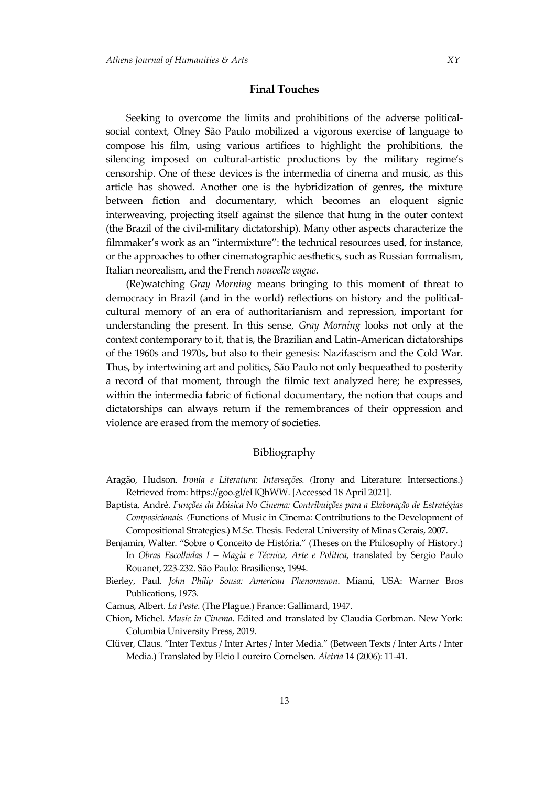### **Final Touches**

Seeking to overcome the limits and prohibitions of the adverse politicalsocial context, Olney São Paulo mobilized a vigorous exercise of language to compose his film, using various artifices to highlight the prohibitions, the silencing imposed on cultural-artistic productions by the military regime's censorship. One of these devices is the intermedia of cinema and music, as this article has showed. Another one is the hybridization of genres, the mixture between fiction and documentary, which becomes an eloquent signic interweaving, projecting itself against the silence that hung in the outer context (the Brazil of the civil-military dictatorship). Many other aspects characterize the filmmaker's work as an "intermixture": the technical resources used, for instance, or the approaches to other cinematographic aesthetics, such as Russian formalism, Italian neorealism, and the French *nouvelle vague*.

(Re)watching *Gray Morning* means bringing to this moment of threat to democracy in Brazil (and in the world) reflections on history and the politicalcultural memory of an era of authoritarianism and repression, important for understanding the present. In this sense, *Gray Morning* looks not only at the context contemporary to it, that is, the Brazilian and Latin-American dictatorships of the 1960s and 1970s, but also to their genesis: Nazifascism and the Cold War. Thus, by intertwining art and politics, São Paulo not only bequeathed to posterity a record of that moment, through the filmic text analyzed here; he expresses, within the intermedia fabric of fictional documentary, the notion that coups and dictatorships can always return if the remembrances of their oppression and violence are erased from the memory of societies.

### Bibliography

- Aragão, Hudson. *Ironia e Literatura: Interseções. (*Irony and Literature: Intersections.) Retrieved from: https://goo.gl/eHQhWW. [Accessed 18 April 2021].
- Baptista, André. *Funções da Música No Cinema: Contribuições para a Elaboração de Estratégias Composicionais. (*Functions of Music in Cinema: Contributions to the Development of Compositional Strategies.) M.Sc. Thesis. Federal University of Minas Gerais, 2007.
- Benjamin, Walter. 'Sobre o Conceito de História.' (Theses on the Philosophy of History.) In *Obras Escolhidas I – Magia e Técnica, Arte e Política*, translated by Sergio Paulo Rouanet, 223-232. São Paulo: Brasiliense, 1994.
- Bierley, Paul. *John Philip Sousa: American Phenomenon*. Miami, USA: Warner Bros Publications, 1973.
- Camus, Albert. *La Peste*. (The Plague.) France: Gallimard, 1947.
- Chion, Michel. *Music in Cinema*. Edited and translated by Claudia Gorbman. New York: Columbia University Press, 2019.
- Clüver, Claus. 'Inter Textus / Inter Artes / Inter Media.' (Between Texts / Inter Arts / Inter Media.) Translated by Elcio Loureiro Cornelsen. *Aletria* 14 (2006): 11-41.